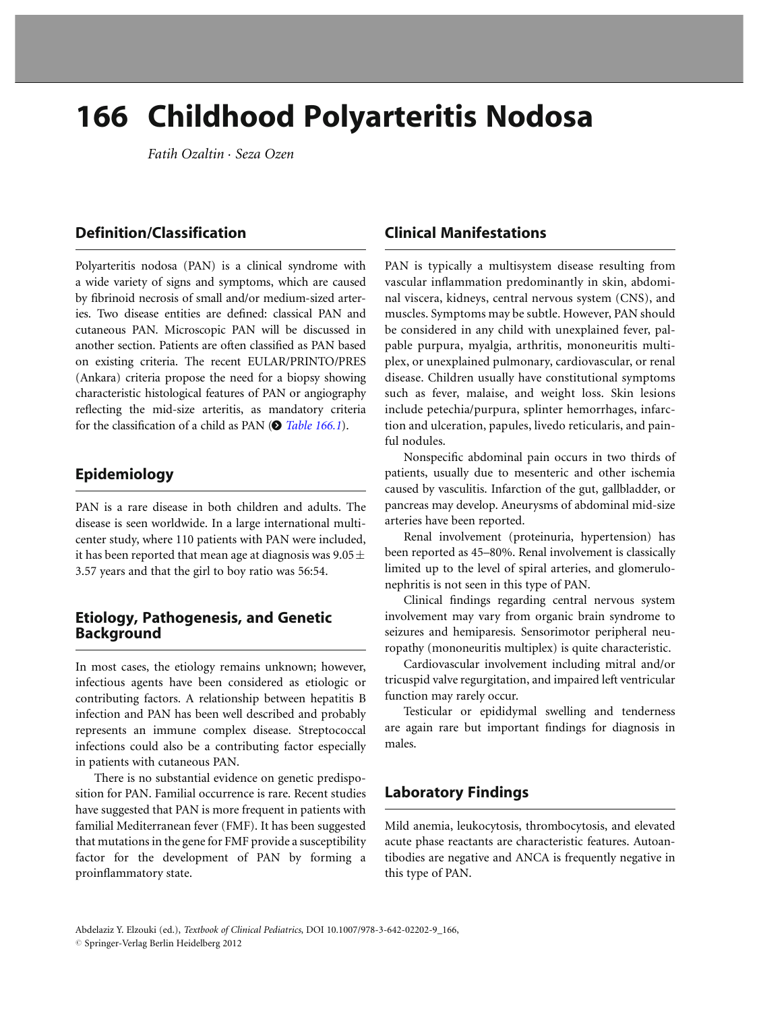# 166 Childhood Polyarteritis Nodosa

Fatih Ozaltin . Seza Ozen

# Definition/Classification

Polyarteritis nodosa (PAN) is a clinical syndrome with a wide variety of signs and symptoms, which are caused by fibrinoid necrosis of small and/or medium-sized arteries. Two disease entities are defined: classical PAN and cutaneous PAN. Microscopic PAN will be discussed in another section. Patients are often classified as PAN based on existing criteria. The recent EULAR/PRINTO/PRES (Ankara) criteria propose the need for a biopsy showing characteristic histological features of PAN or angiography reflecting the mid-size arteritis, as mandatory criteria for the classification of a child as PAN  $\circ$  [Table 166.1](#page-1-0)).

## Epidemiology

PAN is a rare disease in both children and adults. The disease is seen worldwide. In a large international multicenter study, where 110 patients with PAN were included, it has been reported that mean age at diagnosis was  $9.05 \pm$ 3.57 years and that the girl to boy ratio was 56:54.

## Etiology, Pathogenesis, and Genetic Background

In most cases, the etiology remains unknown; however, infectious agents have been considered as etiologic or contributing factors. A relationship between hepatitis B infection and PAN has been well described and probably represents an immune complex disease. Streptococcal infections could also be a contributing factor especially in patients with cutaneous PAN.

There is no substantial evidence on genetic predisposition for PAN. Familial occurrence is rare. Recent studies have suggested that PAN is more frequent in patients with familial Mediterranean fever (FMF). It has been suggested that mutations in the gene for FMF provide a susceptibility factor for the development of PAN by forming a proinflammatory state.

# Clinical Manifestations

PAN is typically a multisystem disease resulting from vascular inflammation predominantly in skin, abdominal viscera, kidneys, central nervous system (CNS), and muscles. Symptoms may be subtle. However, PAN should be considered in any child with unexplained fever, palpable purpura, myalgia, arthritis, mononeuritis multiplex, or unexplained pulmonary, cardiovascular, or renal disease. Children usually have constitutional symptoms such as fever, malaise, and weight loss. Skin lesions include petechia/purpura, splinter hemorrhages, infarction and ulceration, papules, livedo reticularis, and painful nodules.

Nonspecific abdominal pain occurs in two thirds of patients, usually due to mesenteric and other ischemia caused by vasculitis. Infarction of the gut, gallbladder, or pancreas may develop. Aneurysms of abdominal mid-size arteries have been reported.

Renal involvement (proteinuria, hypertension) has been reported as 45–80%. Renal involvement is classically limited up to the level of spiral arteries, and glomerulonephritis is not seen in this type of PAN.

Clinical findings regarding central nervous system involvement may vary from organic brain syndrome to seizures and hemiparesis. Sensorimotor peripheral neuropathy (mononeuritis multiplex) is quite characteristic.

Cardiovascular involvement including mitral and/or tricuspid valve regurgitation, and impaired left ventricular function may rarely occur.

Testicular or epididymal swelling and tenderness are again rare but important findings for diagnosis in males.

## Laboratory Findings

Mild anemia, leukocytosis, thrombocytosis, and elevated acute phase reactants are characteristic features. Autoantibodies are negative and ANCA is frequently negative in this type of PAN.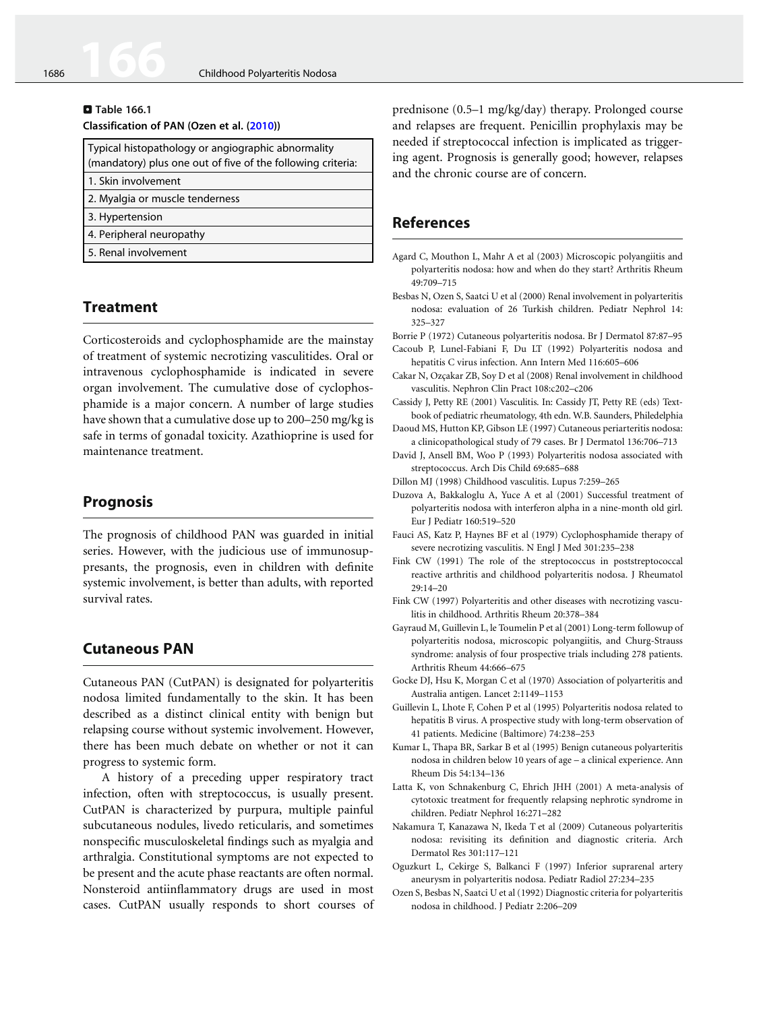#### <span id="page-1-0"></span>**0** Table 166.1 Classification of PAN (Ozen et al. [\(2010](#page-2-0)))

Typical histopathology or angiographic abnormality (mandatory) plus one out of five of the following criteria:

- 1. Skin involvement
- 2. Myalgia or muscle tenderness
- 3. Hypertension
- 4. Peripheral neuropathy
- 5. Renal involvement

## **Treatment**

Corticosteroids and cyclophosphamide are the mainstay of treatment of systemic necrotizing vasculitides. Oral or intravenous cyclophosphamide is indicated in severe organ involvement. The cumulative dose of cyclophosphamide is a major concern. A number of large studies have shown that a cumulative dose up to 200–250 mg/kg is safe in terms of gonadal toxicity. Azathioprine is used for maintenance treatment.

## Prognosis

The prognosis of childhood PAN was guarded in initial series. However, with the judicious use of immunosuppresants, the prognosis, even in children with definite systemic involvement, is better than adults, with reported survival rates.

## Cutaneous PAN

Cutaneous PAN (CutPAN) is designated for polyarteritis nodosa limited fundamentally to the skin. It has been described as a distinct clinical entity with benign but relapsing course without systemic involvement. However, there has been much debate on whether or not it can progress to systemic form.

A history of a preceding upper respiratory tract infection, often with streptococcus, is usually present. CutPAN is characterized by purpura, multiple painful subcutaneous nodules, livedo reticularis, and sometimes nonspecific musculoskeletal findings such as myalgia and arthralgia. Constitutional symptoms are not expected to be present and the acute phase reactants are often normal. Nonsteroid antiinflammatory drugs are used in most cases. CutPAN usually responds to short courses of

prednisone (0.5–1 mg/kg/day) therapy. Prolonged course and relapses are frequent. Penicillin prophylaxis may be needed if streptococcal infection is implicated as triggering agent. Prognosis is generally good; however, relapses and the chronic course are of concern.

## References

- Agard C, Mouthon L, Mahr A et al (2003) Microscopic polyangiitis and polyarteritis nodosa: how and when do they start? Arthritis Rheum 49:709–715
- Besbas N, Ozen S, Saatci U et al (2000) Renal involvement in polyarteritis nodosa: evaluation of 26 Turkish children. Pediatr Nephrol 14: 325–327
- Borrie P (1972) Cutaneous polyarteritis nodosa. Br J Dermatol 87:87–95
- Cacoub P, Lunel-Fabiani F, Du LT (1992) Polyarteritis nodosa and hepatitis C virus infection. Ann Intern Med 116:605–606
- Cakar N, Ozçakar ZB, Soy D et al (2008) Renal involvement in childhood vasculitis. Nephron Clin Pract 108:c202–c206
- Cassidy J, Petty RE (2001) Vasculitis. In: Cassidy JT, Petty RE (eds) Textbook of pediatric rheumatology, 4th edn. W.B. Saunders, Philedelphia
- Daoud MS, Hutton KP, Gibson LE (1997) Cutaneous periarteritis nodosa: a clinicopathological study of 79 cases. Br J Dermatol 136:706–713
- David J, Ansell BM, Woo P (1993) Polyarteritis nodosa associated with streptococcus. Arch Dis Child 69:685–688
- Dillon MJ (1998) Childhood vasculitis. Lupus 7:259–265
- Duzova A, Bakkaloglu A, Yuce A et al (2001) Successful treatment of polyarteritis nodosa with interferon alpha in a nine-month old girl. Eur J Pediatr 160:519–520
- Fauci AS, Katz P, Haynes BF et al (1979) Cyclophosphamide therapy of severe necrotizing vasculitis. N Engl J Med 301:235–238
- Fink CW (1991) The role of the streptococcus in poststreptococcal reactive arthritis and childhood polyarteritis nodosa. J Rheumatol 29:14–20
- Fink CW (1997) Polyarteritis and other diseases with necrotizing vasculitis in childhood. Arthritis Rheum 20:378–384
- Gayraud M, Guillevin L, le Toumelin P et al (2001) Long-term followup of polyarteritis nodosa, microscopic polyangiitis, and Churg-Strauss syndrome: analysis of four prospective trials including 278 patients. Arthritis Rheum 44:666–675
- Gocke DJ, Hsu K, Morgan C et al (1970) Association of polyarteritis and Australia antigen. Lancet 2:1149–1153
- Guillevin L, Lhote F, Cohen P et al (1995) Polyarteritis nodosa related to hepatitis B virus. A prospective study with long-term observation of 41 patients. Medicine (Baltimore) 74:238–253
- Kumar L, Thapa BR, Sarkar B et al (1995) Benign cutaneous polyarteritis nodosa in children below 10 years of age – a clinical experience. Ann Rheum Dis 54:134–136
- Latta K, von Schnakenburg C, Ehrich JHH (2001) A meta-analysis of cytotoxic treatment for frequently relapsing nephrotic syndrome in children. Pediatr Nephrol 16:271–282
- Nakamura T, Kanazawa N, Ikeda T et al (2009) Cutaneous polyarteritis nodosa: revisiting its definition and diagnostic criteria. Arch Dermatol Res 301:117–121
- Oguzkurt L, Cekirge S, Balkanci F (1997) Inferior suprarenal artery aneurysm in polyarteritis nodosa. Pediatr Radiol 27:234–235
- Ozen S, Besbas N, Saatci U et al (1992) Diagnostic criteria for polyarteritis nodosa in childhood. J Pediatr 2:206–209